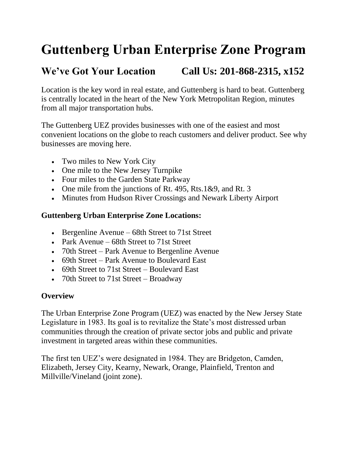# **Guttenberg Urban Enterprise Zone Program**

## **We've Got Your Location Call Us: 201-868-2315, x152**

Location is the key word in real estate, and Guttenberg is hard to beat. Guttenberg is centrally located in the heart of the New York Metropolitan Region, minutes from all major transportation hubs.

The Guttenberg UEZ provides businesses with one of the easiest and most convenient locations on the globe to reach customers and deliver product. See why businesses are moving here.

- Two miles to New York City
- One mile to the New Jersey Turnpike
- Four miles to the Garden State Parkway
- One mile from the junctions of Rt. 495, Rts.1&9, and Rt. 3
- Minutes from Hudson River Crossings and Newark Liberty Airport

#### **Guttenberg Urban Enterprise Zone Locations:**

- Bergenline Avenue 68th Street to 71st Street
- Park Avenue 68th Street to 71st Street
- 70th Street Park Avenue to Bergenline Avenue
- 69th Street Park Avenue to Boulevard East
- 69th Street to 71st Street Boulevard East
- 70th Street to 71st Street Broadway

#### **Overview**

The Urban Enterprise Zone Program (UEZ) was enacted by the New Jersey State Legislature in 1983. Its goal is to revitalize the State's most distressed urban communities through the creation of private sector jobs and public and private investment in targeted areas within these communities.

The first ten UEZ's were designated in 1984. They are Bridgeton, Camden, Elizabeth, Jersey City, Kearny, Newark, Orange, Plainfield, Trenton and Millville/Vineland (joint zone).